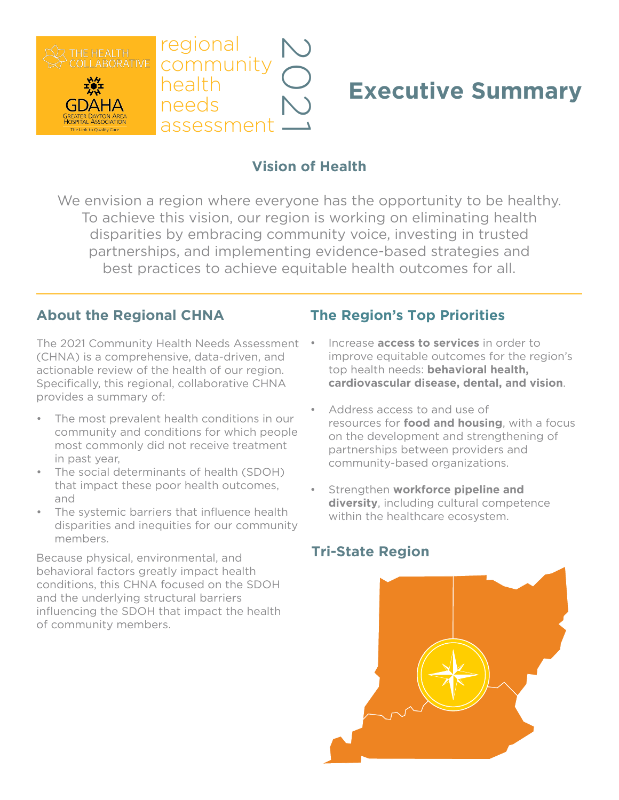

# **Executive Summary**

# **Vision of Health**

We envision a region where everyone has the opportunity to be healthy. To achieve this vision, our region is working on eliminating health disparities by embracing community voice, investing in trusted partnerships, and implementing evidence-based strategies and best practices to achieve equitable health outcomes for all.

#### **About the Regional CHNA**

The 2021 Community Health Needs Assessment • (CHNA) is a comprehensive, data-driven, and actionable review of the health of our region. Specifically, this regional, collaborative CHNA provides a summary of:

- The most prevalent health conditions in our community and conditions for which people most commonly did not receive treatment in past year,
- The social determinants of health (SDOH) that impact these poor health outcomes, and
- The systemic barriers that influence health disparities and inequities for our community members.

Because physical, environmental, and behavioral factors greatly impact health conditions, this CHNA focused on the SDOH and the underlying structural barriers influencing the SDOH that impact the health of community members.

#### **The Region's Top Priorities**

- Increase **access to services** in order to improve equitable outcomes for the region's top health needs: **behavioral health, cardiovascular disease, dental, and vision**.
- Address access to and use of resources for **food and housing**, with a focus on the development and strengthening of partnerships between providers and community-based organizations.
- Strengthen **workforce pipeline and diversity**, including cultural competence within the healthcare ecosystem.

### **Tri-State Region**

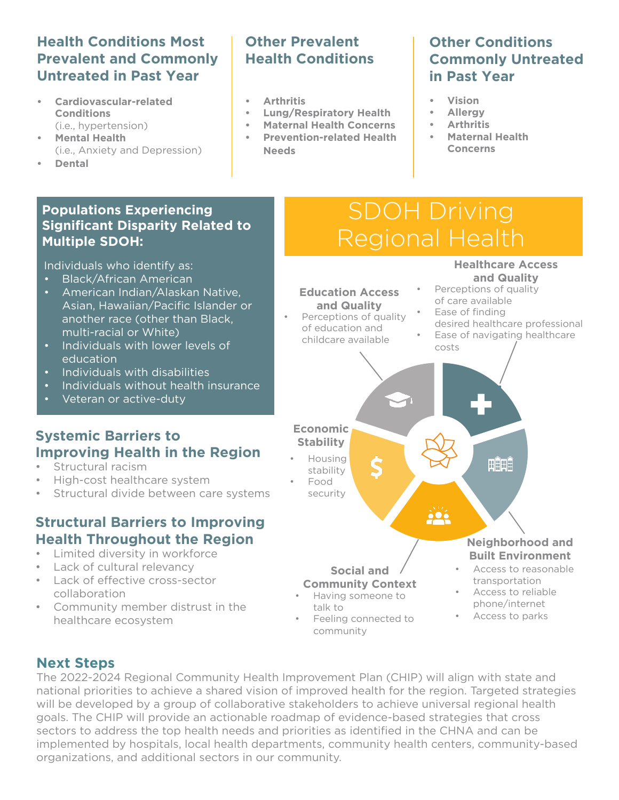#### **Health Conditions Most Prevalent and Commonly Untreated in Past Year**

- **• Cardiovascular-related Conditions**  (i.e., hypertension)
- **• Mental Health**  (i.e., Anxiety and Depression)
- **• Dental**

#### **Populations Experiencing Significant Disparity Related to Multiple SDOH:**

Individuals who identify as:

- Black/African American
- American Indian/Alaskan Native, Asian, Hawaiian/Pacific Islander or another race (other than Black, multi-racial or White)
- Individuals with lower levels of education
- Individuals with disabilities
- Individuals without health insurance
- Veteran or active-duty

# **Systemic Barriers to Improving Health in the Region**

- Structural racism
- High-cost healthcare system
- Structural divide between care systems

# **Structural Barriers to Improving Health Throughout the Region**

- Limited diversity in workforce
- Lack of cultural relevancy
- Lack of effective cross-sector collaboration
- Community member distrust in the healthcare ecosystem

# **Other Prevalent Health Conditions**

- **• Arthritis**
- **• Lung/Respiratory Health**
- **• Maternal Health Concerns**
- **• Prevention-related Health Needs**

# **Other Conditions Commonly Untreated in Past Year**

**Healthcare Access** 

- **• Vision**
- **• Allergy**
- **• Arthritis**
- **• Maternal Health Concerns**

# SDOH Driving Regional Health

#### **and Quality** Perceptions of quality **Education Access**  of care available **and Quality** Ease of finding Perceptions of quality desired healthcare professional of education and Ease of navigating healthcare childcare available costs **Economic Stability**  • Housing HÎHÊ stability • Food security **Neighborhood and Built Environment** • Access to reasonable **Social and**  transportation **Community Context** • Access to reliable • Having someone to phone/internet talk to • Access to parks • Feeling connected to community

### **Next Steps**

The 2022-2024 Regional Community Health Improvement Plan (CHIP) will align with state and national priorities to achieve a shared vision of improved health for the region. Targeted strategies will be developed by a group of collaborative stakeholders to achieve universal regional health goals. The CHIP will provide an actionable roadmap of evidence-based strategies that cross sectors to address the top health needs and priorities as identified in the CHNA and can be implemented by hospitals, local health departments, community health centers, community-based organizations, and additional sectors in our community.